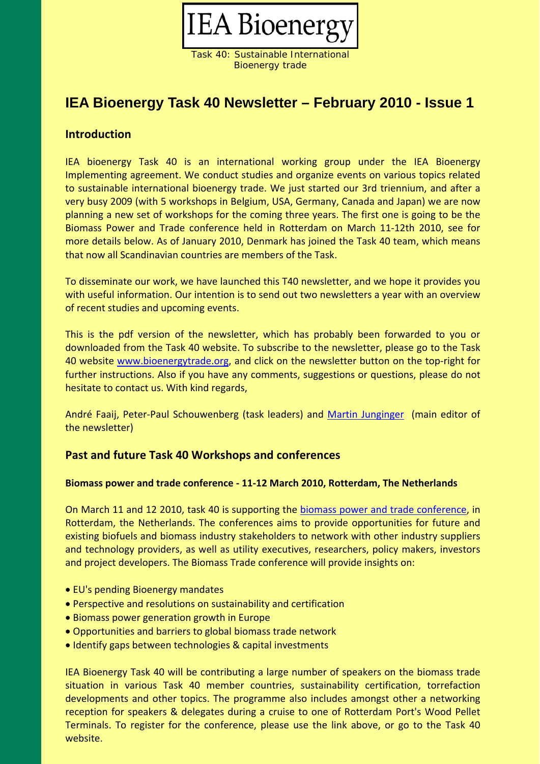

Task 40: Sustainable International Bioenergy trade

# **IEA Bioenergy Task 40 Newsletter – February 2010 - Issue 1**

## **Introduction**

IEA bioenergy Task 40 is an international working group under the IEA Bioenergy Implementing agreement. We conduct studies and organize events on various topics related to sustainable international bioenergy trade. We just started our 3rd triennium, and after a very busy 2009 (with 5 workshops in Belgium, USA, Germany, Canada and Japan) we are now planning a new set of workshops for the coming three years. The first one is going to be the Biomass Power and Trade conference held in Rotterdam on March 11‐12th 2010, see for more details below. As of January 2010, Denmark has joined the Task 40 team, which means that now all Scandinavian countries are members of the Task.

To disseminate our work, we have launched this T40 newsletter, and we hope it provides you with useful information. Our intention is to send out two newsletters a year with an overview of recent studies and upcoming events.

This is the pdf version of the newsletter, which has probably been forwarded to you or downloaded from the Task 40 website. To subscribe to the newsletter, please go to the Task 40 website www.bioenergytrade.org, and click on the newsletter button on the top‐right for further instructions. Also if you have any comments, suggestions or questions, please do not hesitate to contact us. With kind regards,

André Faaij, Peter‐Paul Schouwenberg (task leaders) and Martin Junginger (main editor of the newsletter)

# **Past and future Task 40 Workshops and conferences**

### **Biomass power and trade conference ‐ 11‐12 March 2010, Rotterdam, The Netherlands**

On March 11 and 12 2010, task 40 is supporting the biomass power and trade conference, in Rotterdam, the Netherlands. The conferences aims to provide opportunities for future and existing biofuels and biomass industry stakeholders to network with other industry suppliers and technology providers, as well as utility executives, researchers, policy makers, investors and project developers. The Biomass Trade conference will provide insights on:

- EU's pending Bioenergy mandates
- Perspective and resolutions on sustainability and certification
- Biomass power generation growth in Europe
- Opportunities and barriers to global biomass trade network
- Identify gaps between technologies & capital investments

IEA Bioenergy Task 40 will be contributing a large number of speakers on the biomass trade situation in various Task 40 member countries, sustainability certification, torrefaction developments and other topics. The programme also includes amongst other a networking reception for speakers & delegates during a cruise to one of Rotterdam Port's Wood Pellet Terminals. To register for the conference, please use the link above, or go to the Task 40 website.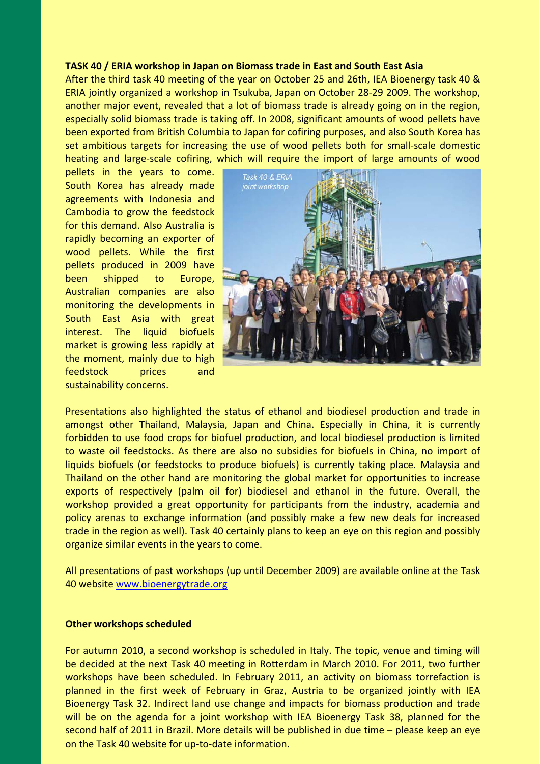#### **TASK 40 / ERIA workshop in Japan on Biomass trade in East and South East Asia**

After the third task 40 meeting of the year on October 25 and 26th, IEA Bioenergy task 40 & ERIA jointly organized a workshop in Tsukuba, Japan on October 28‐29 2009. The workshop, another major event, revealed that a lot of biomass trade is already going on in the region, especially solid biomass trade is taking off. In 2008, significant amounts of wood pellets have been exported from British Columbia to Japan for cofiring purposes, and also South Korea has set ambitious targets for increasing the use of wood pellets both for small-scale domestic heating and large-scale cofiring, which will require the import of large amounts of wood

pellets in the years to come. South Korea has already made agreements with Indonesia and Cambodia to grow the feedstock for this demand. Also Australia is rapidly becoming an exporter of wood pellets. While the first pellets produced in 2009 have been shipped to Europe, Australian companies are also monitoring the developments in South East Asia with great interest. The liquid biofuels market is growing less rapidly at the moment, mainly due to high feedstock prices and sustainability concerns.



Presentations also highlighted the status of ethanol and biodiesel production and trade in amongst other Thailand, Malaysia, Japan and China. Especially in China, it is currently forbidden to use food crops for biofuel production, and local biodiesel production is limited to waste oil feedstocks. As there are also no subsidies for biofuels in China, no import of liquids biofuels (or feedstocks to produce biofuels) is currently taking place. Malaysia and Thailand on the other hand are monitoring the global market for opportunities to increase exports of respectively (palm oil for) biodiesel and ethanol in the future. Overall, the workshop provided a great opportunity for participants from the industry, academia and policy arenas to exchange information (and possibly make a few new deals for increased trade in the region as well). Task 40 certainly plans to keep an eye on this region and possibly organize similar events in the years to come.

All presentations of past workshops (up until December 2009) are available online at the Task 40 website www.bioenergytrade.org

#### **Other workshops scheduled**

For autumn 2010, a second workshop is scheduled in Italy. The topic, venue and timing will be decided at the next Task 40 meeting in Rotterdam in March 2010. For 2011, two further workshops have been scheduled. In February 2011, an activity on biomass torrefaction is planned in the first week of February in Graz, Austria to be organized jointly with IEA Bioenergy Task 32. Indirect land use change and impacts for biomass production and trade will be on the agenda for a joint workshop with IEA Bioenergy Task 38, planned for the second half of 2011 in Brazil. More details will be published in due time – please keep an eye on the Task 40 website for up‐to‐date information.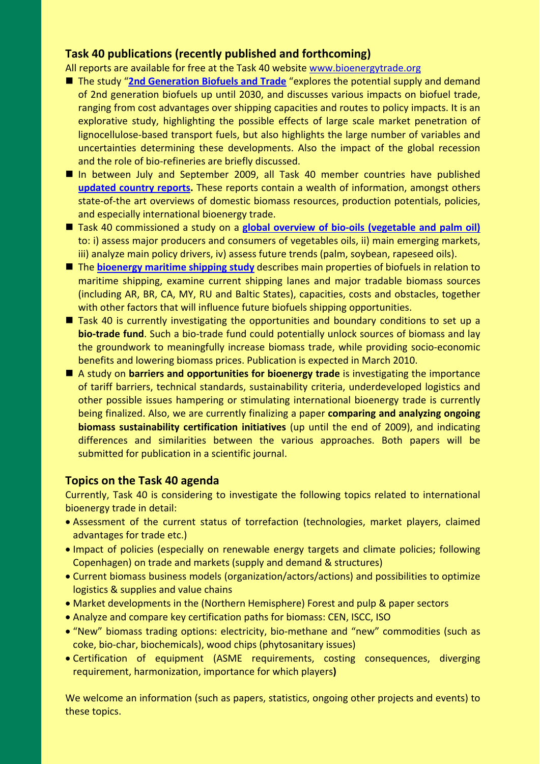# **Task 40 publications (recently published and forthcoming)**

All reports are available for free at the Task 40 website www.bioenergytrade.org

- The study "**2nd Generation Biofuels and Trade** "explores the potential supply and demand of 2nd generation biofuels up until 2030, and discusses various impacts on biofuel trade, ranging from cost advantages over shipping capacities and routes to policy impacts. It is an explorative study, highlighting the possible effects of large scale market penetration of lignocellulose‐based transport fuels, but also highlights the large number of variables and uncertainties determining these developments. Also the impact of the global recession and the role of bio-refineries are briefly discussed.
- In between July and September 2009, all Task 40 member countries have published **updated country reports.** These reports contain a wealth of information, amongst others state-of-the art overviews of domestic biomass resources, production potentials, policies, and especially international bioenergy trade.
- Task 40 commissioned a study on a **global overview of bio-oils (vegetable and palm oil)** to: i) assess major producers and consumers of vegetables oils, ii) main emerging markets, iii) analyze main policy drivers, iv) assess future trends (palm, soybean, rapeseed oils).
- The **bioenergy maritime shipping study** describes main properties of biofuels in relation to maritime shipping, examine current shipping lanes and major tradable biomass sources (including AR, BR, CA, MY, RU and Baltic States), capacities, costs and obstacles, together with other factors that will influence future biofuels shipping opportunities.
- $\blacksquare$  Task 40 is currently investigating the opportunities and boundary conditions to set up a **bio‐trade fund**. Such a bio‐trade fund could potentially unlock sources of biomass and lay the groundwork to meaningfully increase biomass trade, while providing socio‐economic benefits and lowering biomass prices. Publication is expected in March 2010.
- A study on **barriers and opportunities for bioenergy trade** is investigating the importance of tariff barriers, technical standards, sustainability criteria, underdeveloped logistics and other possible issues hampering or stimulating international bioenergy trade is currently being finalized. Also, we are currently finalizing a paper **comparing and analyzing ongoing biomass sustainability certification initiatives** (up until the end of 2009), and indicating differences and similarities between the various approaches. Both papers will be submitted for publication in a scientific journal.

### **Topics on the Task 40 agenda**

Currently, Task 40 is considering to investigate the following topics related to international bioenergy trade in detail:

- Assessment of the current status of torrefaction (technologies, market players, claimed advantages for trade etc.)
- Impact of policies (especially on renewable energy targets and climate policies; following Copenhagen) on trade and markets (supply and demand & structures)
- Current biomass business models (organization/actors/actions) and possibilities to optimize logistics & supplies and value chains
- Market developments in the (Northern Hemisphere) Forest and pulp & paper sectors
- Analyze and compare key certification paths for biomass: CEN, ISCC, ISO
- "New" biomass trading options: electricity, bio‐methane and "new" commodities (such as coke, bio‐char, biochemicals), wood chips (phytosanitary issues)
- Certification of equipment (ASME requirements, costing consequences, diverging requirement, harmonization, importance for which players**)**

We welcome an information (such as papers, statistics, ongoing other projects and events) to these topics.